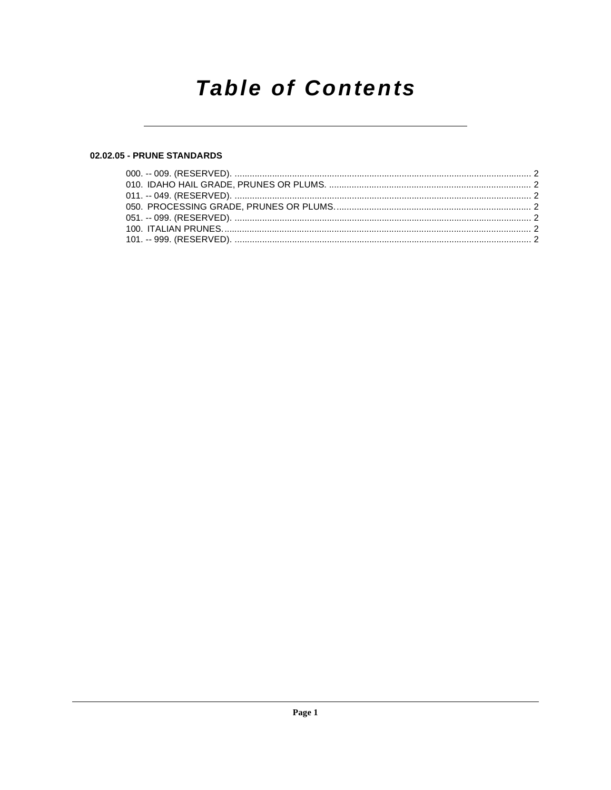## **Table of Contents**

## 02.02.05 - PRUNE STANDARDS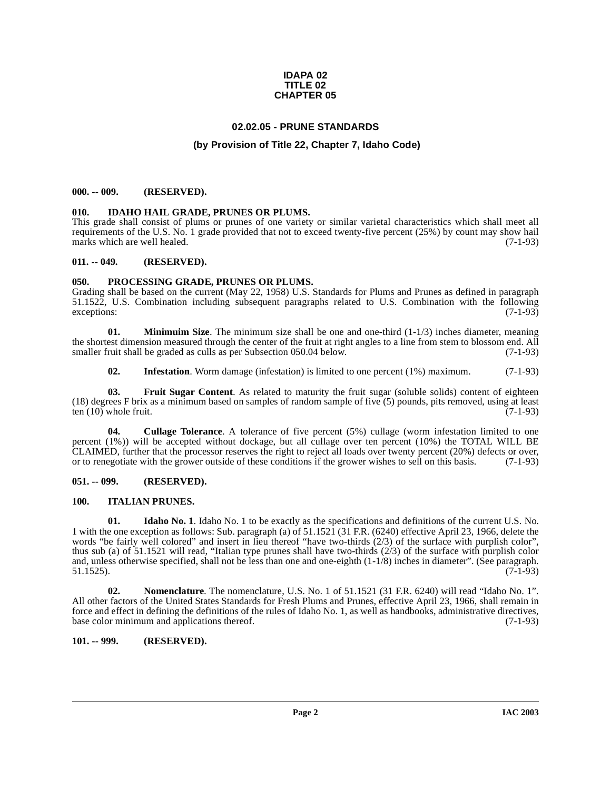#### **IDAPA 02 TITLE 02 CHAPTER 05**

## **02.02.05 - PRUNE STANDARDS**

#### **(by Provision of Title 22, Chapter 7, Idaho Code)**

#### <span id="page-1-1"></span><span id="page-1-0"></span>**000. -- 009. (RESERVED).**

#### <span id="page-1-8"></span><span id="page-1-2"></span>**010. IDAHO HAIL GRADE, PRUNES OR PLUMS.**

This grade shall consist of plums or prunes of one variety or similar varietal characteristics which shall meet all requirements of the U.S. No. 1 grade provided that not to exceed twenty-five percent (25%) by count may show hail marks which are well healed. (7-1-93) marks which are well healed.

#### <span id="page-1-3"></span>**011. -- 049. (RESERVED).**

#### <span id="page-1-12"></span><span id="page-1-4"></span>**050. PROCESSING GRADE, PRUNES OR PLUMS.**

Grading shall be based on the current (May 22, 1958) U.S. Standards for Plums and Prunes as defined in paragraph 51.1522, U.S. Combination including subsequent paragraphs related to U.S. Combination with the following  $\alpha$  exceptions:  $(7-1-93)$ 

**01. Minimuim Size**. The minimum size shall be one and one-third (1-1/3) inches diameter, meaning the shortest dimension measured through the center of the fruit at right angles to a line from stem to blossom end. All smaller fruit shall be graded as culls as per Subsection 050.04 below. (7-1-93)

**02.** Infestation. Worm damage (infestation) is limited to one percent (1%) maximum. (7-1-93)

**03. Fruit Sugar Content**. As related to maturity the fruit sugar (soluble solids) content of eighteen (18) degrees F brix as a minimum based on samples of random sample of five (5) pounds, pits removed, using at least ten (10) whole fruit. (7-1-93) ten  $(10)$  whole fruit.

**04. Cullage Tolerance**. A tolerance of five percent (5%) cullage (worm infestation limited to one percent (1%)) will be accepted without dockage, but all cullage over ten percent (10%) the TOTAL WILL BE CLAIMED, further that the processor reserves the right to reject all loads over twenty percent (20%) defects or over, or to renegotiate with the grower outside of these conditions if the grower wishes to sell on this basis. (7-1-93)

#### <span id="page-1-5"></span>**051. -- 099. (RESERVED).**

#### <span id="page-1-10"></span><span id="page-1-6"></span>**100. ITALIAN PRUNES.**

<span id="page-1-9"></span>**01. Idaho No. 1**. Idaho No. 1 to be exactly as the specifications and definitions of the current U.S. No. 1 with the one exception as follows: Sub. paragraph (a) of 51.1521 (31 F.R. (6240) effective April 23, 1966, delete the words "be fairly well colored" and insert in lieu thereof "have two-thirds (2/3) of the surface with purplish color", thus sub (a) of 51.1521 will read, "Italian type prunes shall have two-thirds (2/3) of the surface with purplish color and, unless otherwise specified, shall not be less than one and one-eighth  $(1-1/8)$  inches in diameter". (See paragraph. 51.1525).  $(7-1-93)$  (7-1-93)

<span id="page-1-11"></span>**02. Nomenclature**. The nomenclature, U.S. No. 1 of 51.1521 (31 F.R. 6240) will read "Idaho No. 1". All other factors of the United States Standards for Fresh Plums and Prunes, effective April 23, 1966, shall remain in force and effect in defining the definitions of the rules of Idaho No. 1, as well as handbooks, administrative directives, base color minimum and applications thereof. (7-1-93)

### <span id="page-1-7"></span>**101. -- 999. (RESERVED).**